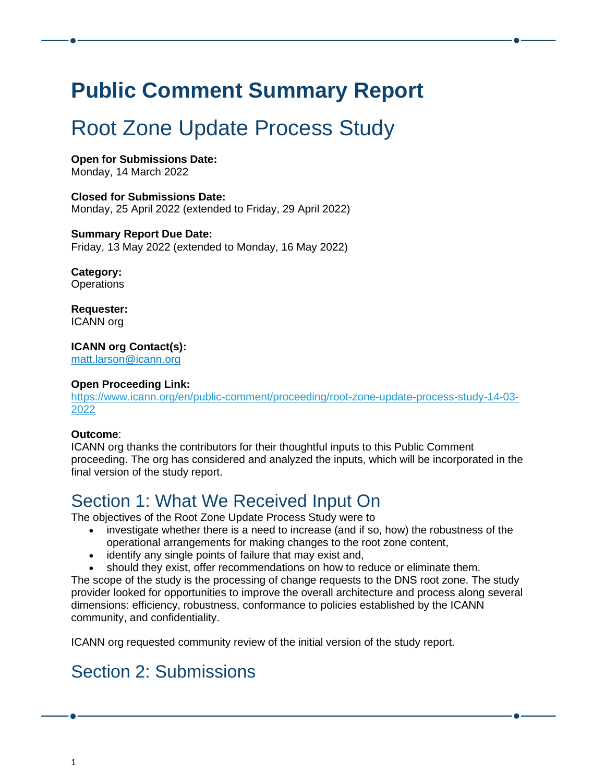# **Public Comment Summary Report**

# Root Zone Update Process Study

**Open for Submissions Date:** Monday, 14 March 2022

**Closed for Submissions Date:** Monday, 25 April 2022 (extended to Friday, 29 April 2022)

**Summary Report Due Date:** Friday, 13 May 2022 (extended to Monday, 16 May 2022)

**Category: Operations** 

**Requester:** ICANN org

**ICANN org Contact(s):**

[matt.larson@icann.org](mailto:matt.larson@icann.org)

#### **Open Proceeding Link:**

[https://www.icann.org/en/public-comment/proceeding/root-zone-update-process-study-14-03-](https://www.icann.org/en/public-comment/proceeding/root-zone-update-process-study-14-03-2022) [2022](https://www.icann.org/en/public-comment/proceeding/root-zone-update-process-study-14-03-2022)

#### **Outcome**:

ICANN org thanks the contributors for their thoughtful inputs to this Public Comment proceeding. The org has considered and analyzed the inputs, which will be incorporated in the final version of the study report.

# Section 1: What We Received Input On

The objectives of the Root Zone Update Process Study were to

- investigate whether there is a need to increase (and if so, how) the robustness of the operational arrangements for making changes to the root zone content,
- identify any single points of failure that may exist and,
- should they exist, offer recommendations on how to reduce or eliminate them.

The scope of the study is the processing of change requests to the DNS root zone. The study provider looked for opportunities to improve the overall architecture and process along several dimensions: efficiency, robustness, conformance to policies established by the ICANN community, and confidentiality.

ICANN org requested community review of the initial version of the study report.

## Section 2: Submissions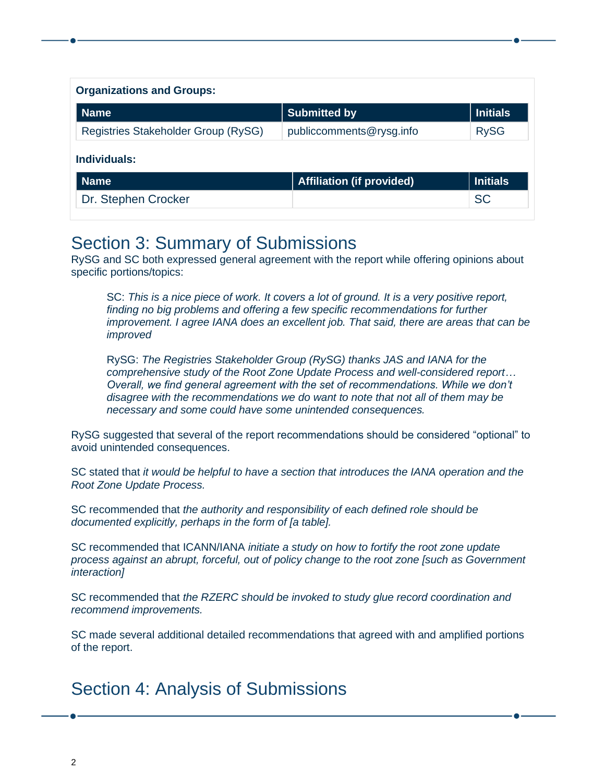| <b>Organizations and Groups:</b>    |                                  |                 |
|-------------------------------------|----------------------------------|-----------------|
| <b>Name</b>                         | <b>Submitted by</b>              | <b>Initials</b> |
| Registries Stakeholder Group (RySG) | publiccomments@rysg.info         | <b>RySG</b>     |
| Individuals:                        |                                  |                 |
| <b>Name</b>                         | <b>Affiliation (if provided)</b> | <b>Initials</b> |
| Dr. Stephen Crocker                 |                                  | <b>SC</b>       |

### Section 3: Summary of Submissions

RySG and SC both expressed general agreement with the report while offering opinions about specific portions/topics:

SC: *This is a nice piece of work. It covers a lot of ground. It is a very positive report, finding no big problems and offering a few specific recommendations for further improvement. I agree IANA does an excellent job. That said, there are areas that can be improved*

RySG: *The Registries Stakeholder Group (RySG) thanks JAS and IANA for the comprehensive study of the Root Zone Update Process and well-considered report… Overall, we find general agreement with the set of recommendations. While we don't disagree with the recommendations we do want to note that not all of them may be necessary and some could have some unintended consequences.*

RySG suggested that several of the report recommendations should be considered "optional" to avoid unintended consequences.

SC stated that *it would be helpful to have a section that introduces the IANA operation and the Root Zone Update Process.*

SC recommended that *the authority and responsibility of each defined role should be documented explicitly, perhaps in the form of [a table].*

SC recommended that ICANN/IANA *initiate a study on how to fortify the root zone update process against an abrupt, forceful, out of policy change to the root zone [such as Government interaction]*

SC recommended that *the RZERC should be invoked to study glue record coordination and recommend improvements.*

SC made several additional detailed recommendations that agreed with and amplified portions of the report.

## Section 4: Analysis of Submissions